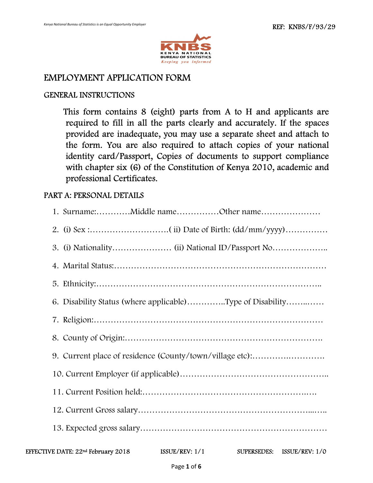

### EMPLOYMENT APPLICATION FORM

#### GENERAL INSTRUCTIONS

 This form contains 8 (eight) parts from A to H and applicants are required to fill in all the parts clearly and accurately. If the spaces provided are inadequate, you may use a separate sheet and attach to the form. You are also required to attach copies of your national identity card/Passport, Copies of documents to support compliance with chapter six (6) of the Constitution of Kenya 2010, academic and professional Certificates.

#### PART A: PERSONAL DETAILS

| 1. Surname:Middle nameOther name                                                                 |
|--------------------------------------------------------------------------------------------------|
|                                                                                                  |
|                                                                                                  |
|                                                                                                  |
|                                                                                                  |
| 6. Disability Status (where applicable)Type of Disability                                        |
|                                                                                                  |
|                                                                                                  |
| 9. Current place of residence (County/town/village etc):                                         |
|                                                                                                  |
|                                                                                                  |
|                                                                                                  |
|                                                                                                  |
| EFFECTIVE DATE: 22 <sup>nd</sup> February 2018<br>ISSUE/REV: $1/1$<br>SUPERSEDES: ISSUE/REV: 1/0 |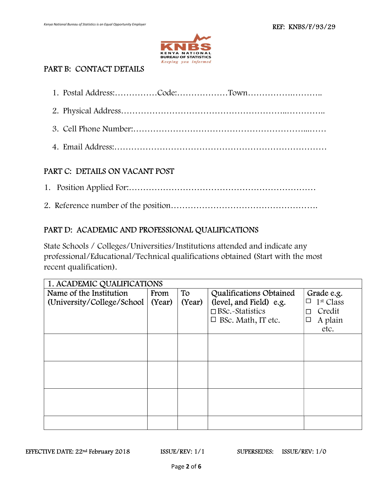

# PART B: CONTACT DETAILS

## PART C: DETAILS ON VACANT POST

#### PART D: ACADEMIC AND PROFESSIONAL QUALIFICATIONS

State Schools / Colleges/Universities/Institutions attended and indicate any professional/Educational/Technical qualifications obtained (Start with the most recent qualification).

| 1. ACADEMIC QUALIFICATIONS  |        |        |                           |                                 |
|-----------------------------|--------|--------|---------------------------|---------------------------------|
| Name of the Institution     | From   | To     | Qualifications Obtained   | Grade e.g.                      |
| (University/College/School) | (Year) | (Year) | (level, and Field) e.g.   | 1 <sup>st</sup> Class<br>$\Box$ |
|                             |        |        | $\Box$ BSc.~Statistics    | Credit<br>П                     |
|                             |        |        | $\Box$ BSc. Math, IT etc. | A plain<br>$\Box$               |
|                             |        |        |                           | etc.                            |
|                             |        |        |                           |                                 |
|                             |        |        |                           |                                 |
|                             |        |        |                           |                                 |
|                             |        |        |                           |                                 |
|                             |        |        |                           |                                 |
|                             |        |        |                           |                                 |
|                             |        |        |                           |                                 |
|                             |        |        |                           |                                 |
|                             |        |        |                           |                                 |
|                             |        |        |                           |                                 |
|                             |        |        |                           |                                 |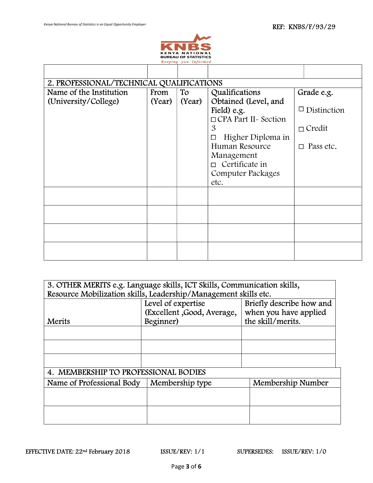$\lceil$ 

ן



 $\overline{\phantom{a}}$ 

| 2. PROFESSIONAL/TECHNICAL QUALIFICATIONS |        |        |                        |                     |  |
|------------------------------------------|--------|--------|------------------------|---------------------|--|
| Name of the Institution                  | From   | To     | Qualifications         | Grade e.g.          |  |
| (University/College)                     | (Year) | (Year) | Obtained (Level, and   |                     |  |
|                                          |        |        | Field) e.g.            | $\Box$ Distinction  |  |
|                                          |        |        | □ CPA Part II~ Section |                     |  |
|                                          |        |        | $\mathfrak{B}$         | $\Box$ Credit       |  |
|                                          |        |        | Higher Diploma in      |                     |  |
|                                          |        |        | Human Resource         | Pass etc.<br>$\Box$ |  |
|                                          |        |        | Management             |                     |  |
|                                          |        |        | Certificate in         |                     |  |
|                                          |        |        | Computer Packages      |                     |  |
|                                          |        |        | etc.                   |                     |  |
|                                          |        |        |                        |                     |  |
|                                          |        |        |                        |                     |  |
|                                          |        |        |                        |                     |  |
|                                          |        |        |                        |                     |  |
|                                          |        |        |                        |                     |  |
|                                          |        |        |                        |                     |  |
|                                          |        |        |                        |                     |  |
|                                          |        |        |                        |                     |  |

|                                      | 3. OTHER MERITS e.g. Language skills, ICT Skills, Communication skills, |                          |  |  |  |
|--------------------------------------|-------------------------------------------------------------------------|--------------------------|--|--|--|
|                                      | Resource Mobilization skills, Leadership/Management skills etc.         |                          |  |  |  |
|                                      | Level of expertise                                                      | Briefly describe how and |  |  |  |
|                                      | (Excellent, Good, Average,                                              | when you have applied    |  |  |  |
| Merits                               | Beginner)                                                               | the skill/merits.        |  |  |  |
|                                      |                                                                         |                          |  |  |  |
|                                      |                                                                         |                          |  |  |  |
|                                      |                                                                         |                          |  |  |  |
|                                      |                                                                         |                          |  |  |  |
| 4. MEMBERSHIP TO PROFESSIONAL BODIES |                                                                         |                          |  |  |  |
| Name of Professional Body            | Membership type                                                         | Membership Number        |  |  |  |
|                                      |                                                                         |                          |  |  |  |
|                                      |                                                                         |                          |  |  |  |
|                                      |                                                                         |                          |  |  |  |
|                                      |                                                                         |                          |  |  |  |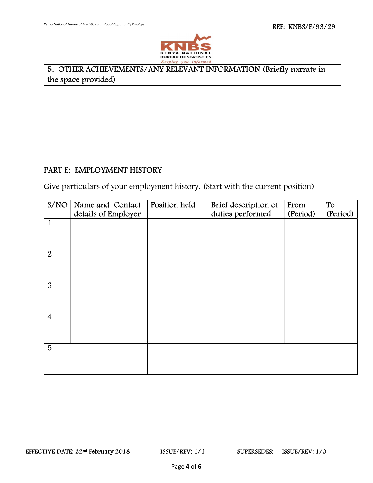$\overline{a}$ 



## 5. OTHER ACHIEVEMENTS/ANY RELEVANT INFORMATION (Briefly narrate in the space provided)

#### PART E: EMPLOYMENT HISTORY

Give particulars of your employment history. (Start with the current position)

| S/NO           | Name and Contact<br>details of Employer | <b>Position held</b> | Brief description of<br>duties performed | From<br>(Period) | To<br>(Period) |
|----------------|-----------------------------------------|----------------------|------------------------------------------|------------------|----------------|
| $\mathbf{1}$   |                                         |                      |                                          |                  |                |
| $\overline{2}$ |                                         |                      |                                          |                  |                |
| $\mathfrak{B}$ |                                         |                      |                                          |                  |                |
| $\overline{4}$ |                                         |                      |                                          |                  |                |
| $\overline{5}$ |                                         |                      |                                          |                  |                |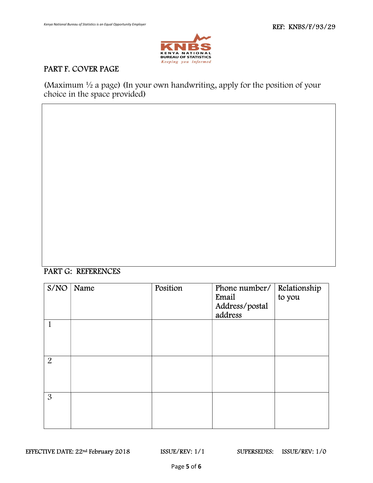

# PART F. COVER PAGE

(Maximum  $\frac{1}{2}$  a page) (In your own handwriting, apply for the position of your choice in the space provided)

#### PART G: REFERENCES

| S/NO           | Name | Position | Phone number/ $\vert$ Relationship<br>Email<br>Address/postal<br>address | to you |
|----------------|------|----------|--------------------------------------------------------------------------|--------|
| $\mathbf{1}$   |      |          |                                                                          |        |
| $\overline{2}$ |      |          |                                                                          |        |
| 3              |      |          |                                                                          |        |